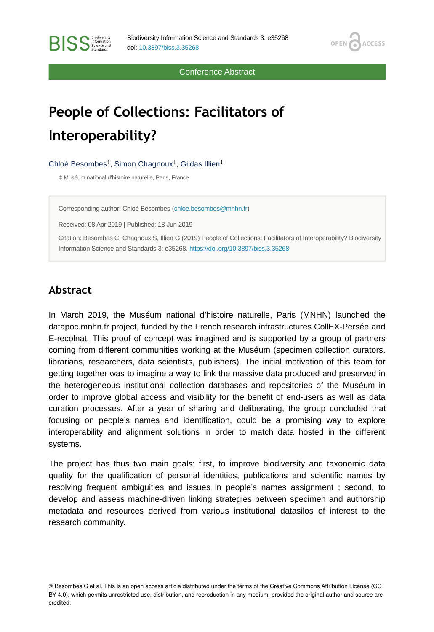OPEN<sub>C</sub>

**ACCESS** 

Conference Abstract

## **People of Collections: Facilitators of Interoperability?**

Chloé Besombes<sup>‡</sup>, Simon Chagnoux<sup>‡</sup>, Gildas Illien<sup>‡</sup>

‡ Muséum national d'histoire naturelle, Paris, France

Corresponding author: Chloé Besombes ([chloe.besombes@mnhn.fr](mailto:chloe.besombes@mnhn.fr))

Received: 08 Apr 2019 | Published: 18 Jun 2019

Citation: Besombes C, Chagnoux S, Illien G (2019) People of Collections: Facilitators of Interoperability? Biodiversity Information Science and Standards 3: e35268.<https://doi.org/10.3897/biss.3.35268>

## **Abstract**

**BISS** Steince and

In March 2019, the Muséum national d'histoire naturelle, Paris (MNHN) launched the datapoc.mnhn.fr project, funded by the French research infrastructures CollEX-Persée and E-recolnat. This proof of concept was imagined and is supported by a group of partners coming from different communities working at the Muséum (specimen collection curators, librarians, researchers, data scientists, publishers). The initial motivation of this team for getting together was to imagine a way to link the massive data produced and preserved in the heterogeneous institutional collection databases and repositories of the Muséum in order to improve global access and visibility for the benefit of end-users as well as data curation processes. After a year of sharing and deliberating, the group concluded that focusing on people's names and identification, could be a promising way to explore interoperability and alignment solutions in order to match data hosted in the different systems.

The project has thus two main goals: first, to improve biodiversity and taxonomic data quality for the qualification of personal identities, publications and scientific names by resolving frequent ambiguities and issues in people's names assignment ; second, to develop and assess machine-driven linking strategies between specimen and authorship metadata and resources derived from various institutional datasilos of interest to the research community.

© Besombes C et al. This is an open access article distributed under the terms of the Creative Commons Attribution License (CC BY 4.0), which permits unrestricted use, distribution, and reproduction in any medium, provided the original author and source are credited.